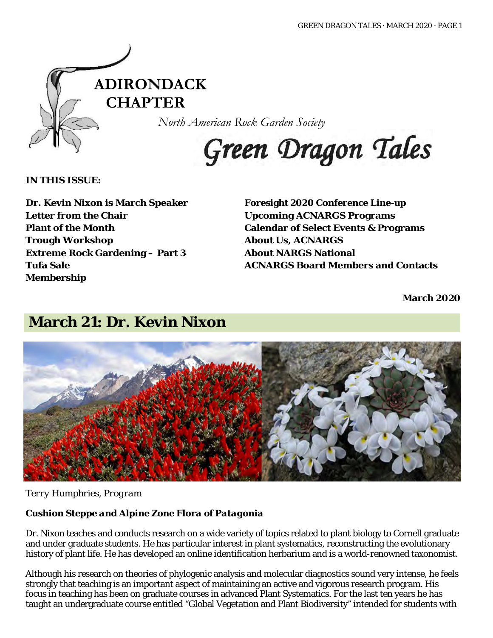

*North American Rock Garden Society*

# Green Dragon Tales

### **IN THIS ISSUE:**

**Dr. Kevin Nixon is March Speaker Letter from the Chair Plant of the Month Trough Workshop Extreme Rock Gardening – Part 3 Tufa Sale Membership**

**Foresight 2020 Conference Line-up Upcoming ACNARGS Programs Calendar of Select Events & Programs About Us, ACNARGS About NARGS National ACNARGS Board Members and Contacts**

**March 2020**

## **March 21: Dr. Kevin Nixon**



### *Terry Humphries, Program*

### *Cushion Steppe and Alpine Zone Flora of Patagonia*

Dr. Nixon teaches and conducts research on a wide variety of topics related to plant biology to Cornell graduate and under graduate students. He has particular interest in plant systematics, reconstructing the evolutionary history of plant life. He has developed an online identification herbarium and is a world-renowned taxonomist.

Although his research on theories of phylogenic analysis and molecular diagnostics sound very intense, he feels strongly that teaching is an important aspect of maintaining an active and vigorous research program. His focus in teaching has been on graduate courses in advanced Plant Systematics. For the last ten years he has taught an undergraduate course entitled "Global Vegetation and Plant Biodiversity" intended for students with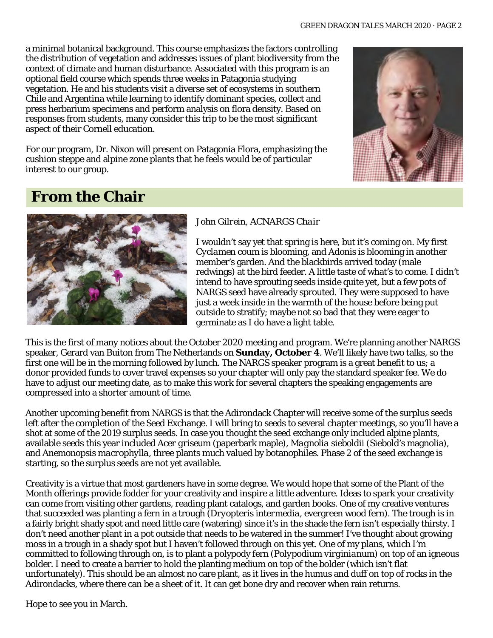a minimal botanical background. This course emphasizes the factors controlling the distribution of vegetation and addresses issues of plant biodiversity from the context of climate and human disturbance. Associated with this program is an optional field course which spends three weeks in Patagonia studying vegetation. He and his students visit a diverse set of ecosystems in southern Chile and Argentina while learning to identify dominant species, collect and press herbarium specimens and perform analysis on flora density. Based on responses from students, many consider this trip to be the most significant aspect of their Cornell education.

For our program, Dr. Nixon will present on Patagonia Flora, emphasizing the cushion steppe and alpine zone plants that he feels would be of particular interest to our group.



# **From the Chair**



### *John Gilrein, ACNARGS Chair*

I wouldn't say yet that spring is here, but it's coming on. My first *Cyclamen coum* is blooming, and *Adonis* is blooming in another member's garden. And the blackbirds arrived today (male redwings) at the bird feeder. A little taste of what's to come. I didn't intend to have sprouting seeds inside quite yet, but a few pots of NARGS seed have already sprouted. They were supposed to have just a week inside in the warmth of the house before being put outside to stratify; maybe not so bad that they were eager to germinate as I do have a light table.

This is the first of many notices about the October 2020 meeting and program. We're planning another NARGS speaker, Gerard van Buiton from The Netherlands on **Sunday, October 4**. We'll likely have two talks, so the first one will be in the morning followed by lunch. The NARGS speaker program is a great benefit to us; a donor provided funds to cover travel expenses so your chapter will only pay the standard speaker fee. We do have to adjust our meeting date, as to make this work for several chapters the speaking engagements are compressed into a shorter amount of time.

Another upcoming benefit from NARGS is that the Adirondack Chapter will receive some of the surplus seeds left after the completion of the Seed Exchange. I will bring to seeds to several chapter meetings, so you'll have a shot at some of the 2019 surplus seeds. In case you thought the seed exchange only included alpine plants, available seeds this year included *Acer griseum* (paperbark maple), *Magnolia sieboldii* (Siebold's magnolia), and *Anemonopsis macrophylla*, three plants much valued by botanophiles. Phase 2 of the seed exchange is starting, so the surplus seeds are not yet available.

Creativity is a virtue that most gardeners have in some degree. We would hope that some of the Plant of the Month offerings provide fodder for your creativity and inspire a little adventure. Ideas to spark your creativity can come from visiting other gardens, reading plant catalogs, and garden books. One of my creative ventures that succeeded was planting a fern in a trough (*Dryopteris intermedia*, evergreen wood fern). The trough is in a fairly bright shady spot and need little care (watering) since it's in the shade the fern isn't especially thirsty. I don't need another plant in a pot outside that needs to be watered in the summer! I've thought about growing moss in a trough in a shady spot but I haven't followed through on this yet. One of my plans, which I'm committed to following through on, is to plant a polypody fern (*Polypodium virginianum*) on top of an igneous bolder. I need to create a barrier to hold the planting medium on top of the bolder (which isn't flat unfortunately). This should be an almost no care plant, as it lives in the humus and duff on top of rocks in the Adirondacks, where there can be a sheet of it. It can get bone dry and recover when rain returns.

Hope to see you in March.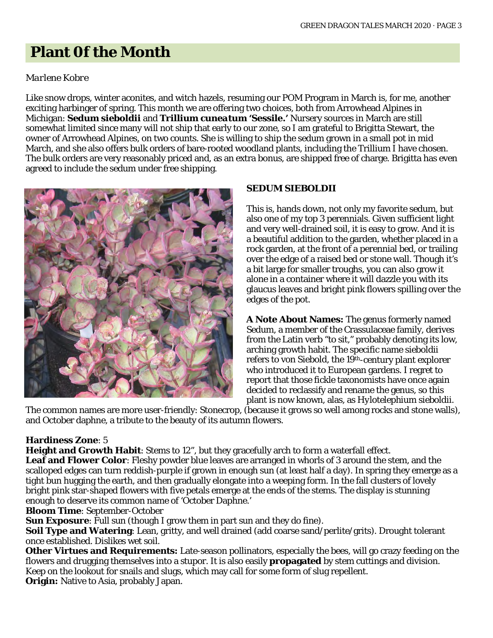# **Plant 0f the Month**

### *Marlene Kobre*

Like snow drops, winter aconites, and witch hazels, resuming our POM Program in March is, for me, another exciting harbinger of spring. This month we are offering two choices, both from Arrowhead Alpines in Michigan: *Sedum sieboldii* and *Trillium cuneatum* **'Sessile.'** Nursery sources in March are still somewhat limited since many will not ship that early to our zone, so I am grateful to Brigitta Stewart, the owner of Arrowhead Alpines, on two counts. She is willing to ship the sedum grown in a small pot in mid March, and she also offers bulk orders of bare-rooted woodland plants, including the Trillium I have chosen. The bulk orders are very reasonably priced and, as an extra bonus, are shipped free of charge. Brigitta has even agreed to include the sedum under free shipping.



### **SEDUM SIEBOLDII**

This is, hands down, not only my favorite sedum, but also one of my top 3 perennials. Given sufficient light and very well-drained soil, it is easy to grow. And it is a beautiful addition to the garden, whether placed in a rock garden, at the front of a perennial bed, or trailing over the edge of a raised bed or stone wall. Though it's a bit large for smaller troughs, you can also grow it alone in a container where it will dazzle you with its glaucus leaves and bright pink flowers spilling over the edges of the pot.

**A Note About Names:** The genus formerly named Sedum, a member of the Crassulaceae family, derives from the Latin verb "to sit," probably denoting its low, arching growth habit. The specific name sieboldii refers to von Siebold, the 19<sup>th</sup>-century plant explorer who introduced it to European gardens. I regret to report that those fickle taxonomists have once again decided to reclassify and rename the genus, so this plant is now known, alas, as *Hylotelephium sieboldii*.

The common names are more user-friendly: Stonecrop, (because it grows so well among rocks and stone walls), and October daphne, a tribute to the beauty of its autumn flowers.

### **Hardiness Zone**: 5

**Height and Growth Habit**: Stems to 12", but they gracefully arch to form a waterfall effect. **Leaf and Flower Color**: Fleshy powder blue leaves are arranged in whorls of 3 around the stem, and the scalloped edges can turn reddish-purple if grown in enough sun (at least half a day). In spring they emerge as a tight bun hugging the earth, and then gradually elongate into a weeping form. In the fall clusters of lovely bright pink star-shaped flowers with five petals emerge at the ends of the stems. The display is stunning enough to deserve its common name of 'October Daphne.'

**Bloom Time**: September-October

**Sun Exposure**: Full sun (though I grow them in part sun and they do fine).

**Soil Type and Watering**: Lean, gritty, and well drained (add coarse sand/perlite/grits). Drought tolerant once established. Dislikes wet soil.

**Other Virtues and Requirements:** Late-season pollinators, especially the bees, will go crazy feeding on the flowers and drugging themselves into a stupor. It is also easily **propagated** by stem cuttings and division. Keep on the lookout for snails and slugs, which may call for some form of slug repellent. **Origin:** Native to Asia, probably Japan.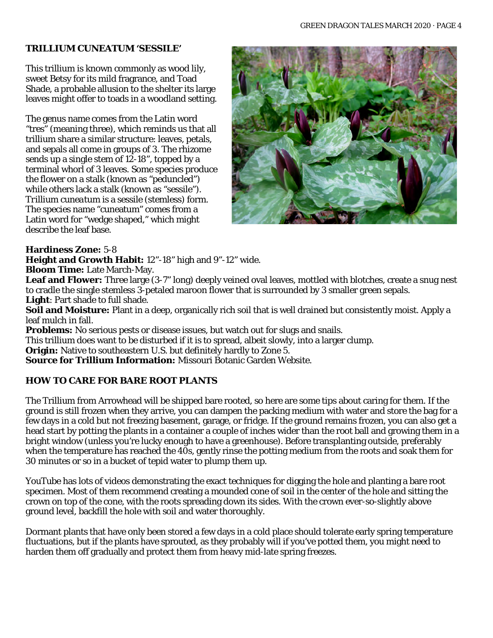#### **TRILLIUM CUNEATUM 'SESSILE'**

This trillium is known commonly as wood lily, sweet Betsy for its mild fragrance, and Toad Shade, a probable allusion to the shelter its large leaves might offer to toads in a woodland setting.

The genus name comes from the Latin word "tres" (meaning three), which reminds us that all trillium share a similar structure: leaves, petals, and sepals all come in groups of 3. The rhizome sends up a single stem of  $12-18$ ", topped by a terminal whorl of 3 leaves. Some species produce the flower on a stalk (known as "peduncled") while others lack a stalk (known as "sessile"). *Trillium cuneatum* is a sessile (stemless) form. The species name "cuneatum" comes from a Latin word for "wedge shaped," which might describe the leaf base.



#### **Hardiness Zone:** 5-8

**Height and Growth Habit:** 12"-18" high and 9"-12" wide.

**Bloom Time:** Late March-May.

Leaf and Flower: Three large (3-7" long) deeply veined oval leaves, mottled with blotches, create a snug nest to cradle the single stemless 3-petaled maroon flower that is surrounded by 3 smaller green sepals. **Light**: Part shade to full shade.

**Soil and Moisture:** Plant in a deep, organically rich soil that is well drained but consistently moist. Apply a leaf mulch in fall.

**Problems:** No serious pests or disease issues, but watch out for slugs and snails.

This trillium does want to be disturbed if it is to spread, albeit slowly, into a larger clump.

**Origin:** Native to southeastern U.S. but definitely hardly to Zone 5.

**Source for Trillium Information:** Missouri Botanic Garden Website.

### **HOW TO CARE FOR BARE ROOT PLANTS**

The Trillium from Arrowhead will be shipped bare rooted, so here are some tips about caring for them. If the ground is still frozen when they arrive, you can dampen the packing medium with water and store the bag for a few days in a cold but not freezing basement, garage, or fridge. If the ground remains frozen, you can also get a head start by potting the plants in a container a couple of inches wider than the root ball and growing them in a bright window (unless you're lucky enough to have a greenhouse). Before transplanting outside, preferably when the temperature has reached the 40s, gently rinse the potting medium from the roots and soak them for 30 minutes or so in a bucket of tepid water to plump them up.

YouTube has lots of videos demonstrating the exact techniques for digging the hole and planting a bare root specimen. Most of them recommend creating a mounded cone of soil in the center of the hole and sitting the crown on top of the cone, with the roots spreading down its sides. With the crown ever-so-slightly above ground level, backfill the hole with soil and water thoroughly.

Dormant plants that have only been stored a few days in a cold place should tolerate early spring temperature fluctuations, but if the plants have sprouted, as they probably will if you've potted them, you might need to harden them off gradually and protect them from heavy mid-late spring freezes.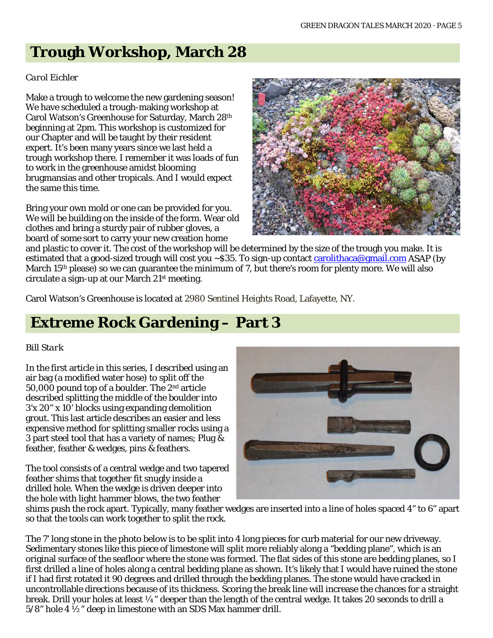# **Trough Workshop, March 28**

### *Carol Eichler*

Make a trough to welcome the new gardening season! We have scheduled a trough-making workshop at Carol Watson's Greenhouse for Saturday, March 28th beginning at 2pm. This workshop is customized for our Chapter and will be taught by their resident expert. It's been many years since we last held a trough workshop there. I remember it was loads of fun to work in the greenhouse amidst blooming brugmansias and other tropicals. And I would expect the same this time.

Bring your own mold or one can be provided for you. We will be building on the inside of the form. Wear old clothes and bring a sturdy pair of rubber gloves, a board of some sort to carry your new creation home



and plastic to cover it. The cost of the workshop will be determined by the size of the trough you make. It is estimated that a good-sized trough will cost you  $\sim$  \$35. To sign-up contact [carolithaca@gmail.com](mailto:carolithaca@gmail.com) ASAP (by March 15th please) so we can guarantee the minimum of 7, but there's room for plenty more. We will also circulate a sign-up at our March 21st meeting.

Carol Watson's Greenhouse is located at 2980 Sentinel Heights Road, Lafayette, NY.

# **Extreme Rock Gardening – Part 3**

### *Bill Stark*

In the first article in this series, I described using an air bag (a modified water hose) to split off the 50,000 pound top of a boulder. The 2nd article described splitting the middle of the boulder into 3'x 20" x 10' blocks using expanding demolition grout. This last article describes an easier and less expensive method for splitting smaller rocks using a 3 part steel tool that has a variety of names; Plug & feather, feather & wedges, pins & feathers.

The tool consists of a central wedge and two tapered feather shims that together fit snugly inside a drilled hole. When the wedge is driven deeper into the hole with light hammer blows, the two feather



shims push the rock apart. Typically, many feather wedges are inserted into a line of holes spaced 4" to 6" apart so that the tools can work together to split the rock.

The 7' long stone in the photo below is to be split into 4 long pieces for curb material for our new driveway. Sedimentary stones like this piece of limestone will split more reliably along a "bedding plane", which is an original surface of the seafloor where the stone was formed. The flat sides of this stone are bedding planes, so I first drilled a line of holes along a central bedding plane as shown. It's likely that I would have ruined the stone if I had first rotated it 90 degrees and drilled through the bedding planes. The stone would have cracked in uncontrollable directions because of its thickness. Scoring the break line will increase the chances for a straight break. Drill your holes at least ¼" deeper than the length of the central wedge. It takes 20 seconds to drill a  $5/8$ " hole 4  $\frac{1}{2}$ " deep in limestone with an SDS Max hammer drill.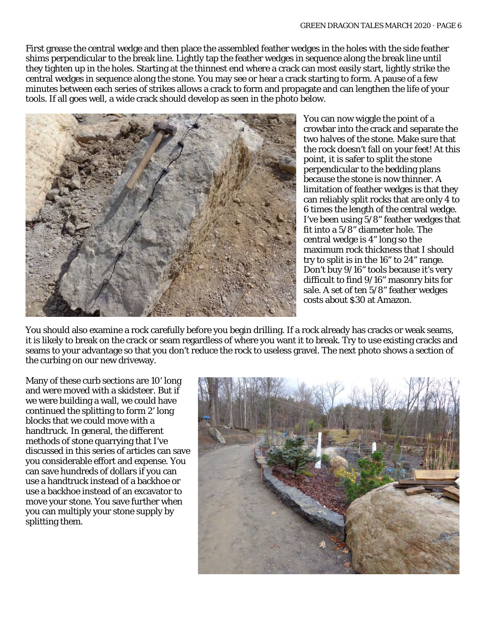First grease the central wedge and then place the assembled feather wedges in the holes with the side feather shims perpendicular to the break line. Lightly tap the feather wedges in sequence along the break line until they tighten up in the holes. Starting at the thinnest end where a crack can most easily start, lightly strike the central wedges in sequence along the stone. You may see or hear a crack starting to form. A pause of a few minutes between each series of strikes allows a crack to form and propagate and can lengthen the life of your tools. If all goes well, a wide crack should develop as seen in the photo below.



You can now wiggle the point of a crowbar into the crack and separate the two halves of the stone. Make sure that the rock doesn't fall on your feet! At this point, it is safer to split the stone perpendicular to the bedding plans because the stone is now thinner. A limitation of feather wedges is that they can reliably split rocks that are only 4 to 6 times the length of the central wedge. I've been using 5/8" feather wedges that fit into a 5/8" diameter hole. The central wedge is 4" long so the maximum rock thickness that I should try to split is in the 16" to 24" range. Don't buy 9/16" tools because it's very difficult to find 9/16" masonry bits for sale. A set of ten 5/8" feather wedges costs about \$30 at Amazon.

You should also examine a rock carefully before you begin drilling. If a rock already has cracks or weak seams, it is likely to break on the crack or seam regardless of where you want it to break. Try to use existing cracks and seams to your advantage so that you don't reduce the rock to useless gravel. The next photo shows a section of the curbing on our new driveway.

Many of these curb sections are 10' long and were moved with a skidsteer. But if we were building a wall, we could have continued the splitting to form 2' long blocks that we could move with a handtruck. In general, the different methods of stone quarrying that I've discussed in this series of articles can save you considerable effort and expense. You can save hundreds of dollars if you can use a handtruck instead of a backhoe or use a backhoe instead of an excavator to move your stone. You save further when you can multiply your stone supply by splitting them.

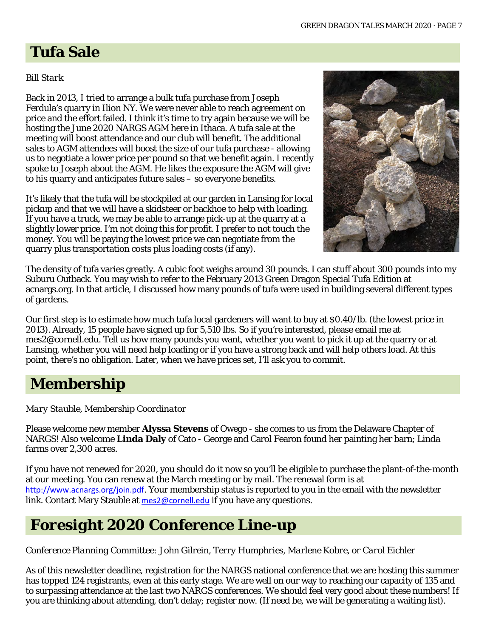# **Tufa Sale**

### *Bill Stark*

Back in 2013, I tried to arrange a bulk tufa purchase from Joseph Ferdula's quarry in Ilion NY. We were never able to reach agreement on price and the effort failed. I think it's time to try again because we will be hosting the June 2020 NARGS AGM here in Ithaca. A tufa sale at the meeting will boost attendance and our club will benefit. The additional sales to AGM attendees will boost the size of our tufa purchase - allowing us to negotiate a lower price per pound so that we benefit again. I recently spoke to Joseph about the AGM. He likes the exposure the AGM will give to his quarry and anticipates future sales – so everyone benefits.

It's likely that the tufa will be stockpiled at our garden in Lansing for local pickup and that we will have a skidsteer or backhoe to help with loading. If you have a truck, we may be able to arrange pick-up at the quarry at a slightly lower price. I'm not doing this for profit. I prefer to not touch the money. You will be paying the lowest price we can negotiate from the quarry plus transportation costs plus loading costs (if any).



The density of tufa varies greatly. A cubic foot weighs around 30 pounds. I can stuff about 300 pounds into my Suburu Outback. You may wish to refer to the February 2013 Green Dragon Special Tufa Edition at acnargs.org. In that article, I discussed how many pounds of tufa were used in building several different types of gardens.

Our first step is to estimate how much tufa local gardeners will want to buy at \$0.40/lb. (the lowest price in 2013). Already, 15 people have signed up for 5,510 lbs. So if you're interested, please email me at [mes2@cornell.edu.](mailto:mes2@cornell.edu) Tell us how many pounds you want, whether you want to pick it up at the quarry or at Lansing, whether you will need help loading or if you have a strong back and will help others load. At this point, there's no obligation. Later, when we have prices set, I'll ask you to commit.

# **Membership**

*Mary Stauble, Membership Coordinator*

Please welcome new member **Alyssa Stevens** of Owego - she comes to us from the Delaware Chapter of NARGS! Also welcome **Linda Daly** of Cato - George and Carol Fearon found her painting her barn; Linda farms over 2,300 acres.

If you have not renewed for 2020, you should do it now so you'll be eligible to purchase the plant-of-the-month at our meeting. You can renew at the March meeting or by mail. The renewal form is at <http://www.acnargs.org/join.pdf>. Your membership status is reported to you in the email with the newsletter link. Contact Mary Stauble at [mes2@cornell.edu](mailto:mes2@cornell.edu) if you have any questions.

# *Foresight 2020* **Conference Line-up**

*Conference Planning Committee: John Gilrein, Terry Humphries, Marlene Kobre, or Carol Eichler*

As of this newsletter deadline, registration for the NARGS national conference that we are hosting this summer has topped 124 registrants, even at this early stage. We are well on our way to reaching our capacity of 135 and to surpassing attendance at the last two NARGS conferences. We should feel very good about these numbers! If you are thinking about attending, don't delay; register now. (If need be, we will be generating a waiting list).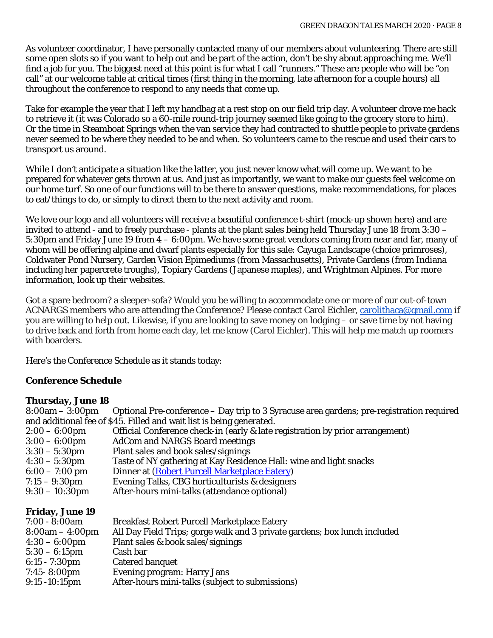As volunteer coordinator, I have personally contacted many of our members about volunteering. There are still some open slots so if you want to help out and be part of the action, don't be shy about approaching me. We'll find a job for you. The biggest need at this point is for what I call "runners." These are people who will be "on call" at our welcome table at critical times (first thing in the morning, late afternoon for a couple hours) all throughout the conference to respond to any needs that come up.

Take for example the year that I left my handbag at a rest stop on our field trip day. A volunteer drove me back to retrieve it (it was Colorado so a 60-mile round-trip journey seemed like going to the grocery store to him). Or the time in Steamboat Springs when the van service they had contracted to shuttle people to private gardens never seemed to be where they needed to be and when. So volunteers came to the rescue and used their cars to transport us around.

While I don't anticipate a situation like the latter, you just never know what will come up. We want to be prepared for whatever gets thrown at us. And just as importantly, we want to make our guests feel welcome on our home turf. So one of our functions will to be there to answer questions, make recommendations, for places to eat/things to do, or simply to direct them to the next activity and room.

We love our logo and all volunteers will receive a beautiful conference t-shirt (mock-up shown here) and are invited to attend - and to freely purchase - plants at the plant sales being held Thursday June 18 from 3:30 – 5:30pm and Friday June 19 from  $4 - 6:00$ pm. We have some great vendors coming from near and far, many of whom will be offering alpine and dwarf plants especially for this sale: Cayuga Landscape (choice primroses), Coldwater Pond Nursery, Garden Vision Epimediums (from Massachusetts), Private Gardens (from Indiana including her papercrete troughs), Topiary Gardens (Japanese maples), and Wrightman Alpines. For more information, look up their websites.

Got a spare bedroom? a sleeper-sofa? Would you be willing to accommodate one or more of our out-of-town ACNARGS members who are attending the Conference? Please contact Carol Eichler, [carolithaca@gmail.com](mailto:carolithaca@gmail.com) if you are willing to help out. Likewise, if you are looking to save money on lodging – or save time by not having to drive back and forth from home each day, let me know (Carol Eichler). This will help me match up roomers with boarders.

Here's the Conference Schedule as it stands today:

### **Conference Schedule**

#### **Thursday, June 18**

| $8:00am - 3:00pm$                                         | Optional Pre-conference - Day trip to 3 Syracuse area gardens; pre-registration required |
|-----------------------------------------------------------|------------------------------------------------------------------------------------------|
|                                                           | and additional fee of \$45. Filled and wait list is being generated.                     |
| $2:00-6:00$ pm                                            | Official Conference check-in (early & late registration by prior arrangement)            |
| $3:00 - 6:00$ pm                                          | <b>AdCom and NARGS Board meetings</b>                                                    |
| $3:30 - 5:30$ pm                                          | Plant sales and book sales/signings                                                      |
| $4:30 - 5:30$ pm                                          | Taste of NY gathering at Kay Residence Hall: wine and light snacks                       |
| $6:00 - 7:00$ pm                                          | Dinner at (Robert Purcell Marketplace Eatery)                                            |
| $7:15 - 9:30$ pm                                          | Evening Talks, CBG horticulturists & designers                                           |
| $9:30-10:30$ pm                                           | After-hours mini-talks (attendance optional)                                             |
| <b>Friday, June 19</b>                                    |                                                                                          |
| $7:00 - 8:00am$                                           | <b>Breakfast Robert Purcell Marketplace Eatery</b>                                       |
| $R \cdot \Omega \Omega_{2m} = 1 \cdot \Omega \Omega_{2m}$ | All Day Field Tripe: gorge walk and 3 private gardens; boy lunch included                |

| $7:00 - 8:00$ am<br><b>Breakfast Robert Purcell Marketplace Eatery</b>                         |  |
|------------------------------------------------------------------------------------------------|--|
| All Day Field Trips; gorge walk and 3 private gardens; box lunch included<br>$8:00am - 4:00pm$ |  |
| $4:30 - 6:00$ pm<br>Plant sales & book sales/signings                                          |  |
| Cash bar<br>$5:30 - 6:15 \text{pm}$                                                            |  |
| Catered banquet<br>$6:15 - 7:30 \text{pm}$                                                     |  |
| <b>Evening program: Harry Jans</b><br>$7:45 - 8:00 \text{pm}$                                  |  |
| After-hours mini-talks (subject to submissions)<br>$9:15 - 10:15 \text{pm}$                    |  |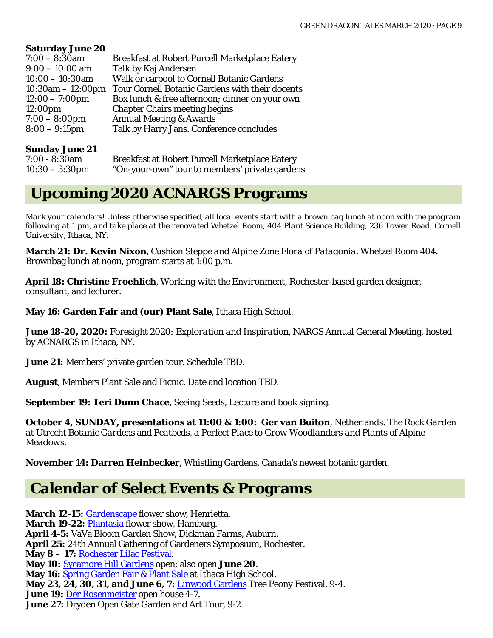#### **Saturday June 20**

| $7:00 - 8:30$ am       | <b>Breakfast at Robert Purcell Marketplace Eatery</b> |
|------------------------|-------------------------------------------------------|
| $9:00 - 10:00$ am      | Talk by Kaj Andersen                                  |
| $10:00 - 10:30$ am     | Walk or carpool to Cornell Botanic Gardens            |
| $10:30$ am $-12:00$ pm | Tour Cornell Botanic Gardens with their docents       |
| $12:00 - 7:00$ pm      | Box lunch & free afternoon; dinner on your own        |
| 12:00 <sub>pm</sub>    | <b>Chapter Chairs meeting begins</b>                  |
| $7:00 - 8:00$ pm       | <b>Annual Meeting &amp; Awards</b>                    |
| $8:00 - 9:15$ pm       | Talk by Harry Jans. Conference concludes              |
|                        |                                                       |

#### **Sunday June 21**

| 7:00 - 8:30am  | Breakfast at Robert Purcell Marketplace Eatery |
|----------------|------------------------------------------------|
| 10:30 – 3:30pm | "On-your-own" tour to members' private gardens |

### **Upcoming 2020 ACNARGS Programs**

*Mark your calendars! Unless otherwise specified, all local events start with a brown bag lunch at noon with the program following at 1 pm, and take place at the renovated Whetzel Room, 404 Plant Science Building, 236 Tower Road, Cornell University, Ithaca, NY.*

**March 21: Dr. Kevin Nixon**, *Cushion Steppe and Alpine Zone Flora of Patagonia*. Whetzel Room 404. Brownbag lunch at noon, program starts at 1:00 p.m.

**April 18: Christine Froehlich**, *Working with the Environment*, Rochester-based garden designer, consultant, and lecturer.

**May 16: Garden Fair and (our) Plant Sale**, Ithaca High School.

**June 18-20, 2020:** *Foresight 2020: Exploration and Inspiration*, NARGS Annual General Meeting, hosted by ACNARGS in Ithaca, NY.

**June 21:** Members' private garden tour. Schedule TBD.

**August**, Members Plant Sale and Picnic. Date and location TBD.

**September 19: Teri Dunn Chace**, *Seeing Seeds,* Lecture and book signing.

**October 4, SUNDAY, presentations at 11:00 & 1:00: Ger van Buiton**, Netherlands. *The Rock Garden at Utrecht Botanic Gardens* and *Peatbeds, a Perfect Place to Grow Woodlanders and Plants of Alpine Meadows.*

**November 14: Darren Heinbecker**, Whistling Gardens, Canada's newest botanic garden.

### **Calendar of Select Events & Programs**

March 12-15: [Gardenscape](https://rochesterflowershow.com/) flower show, Henrietta. **March 19-22:** [Plantasia](https://flowerfairs.org/plantasia/) flower show, Hamburg. **April 4-5:** VaVa Bloom Garden Show, Dickman Farms, Auburn. **April 25:** 24th Annual Gathering of Gardeners Symposium, Rochester. **May 8 – 17:** [Rochester Lilac Festival.](https://www.rochesterevents.com/lilac-festival/) **May 10:** [Sycamore Hill Gardens](http://www.sycamorehillgardens.com/) open; also open **June 20**. **May 16:** [Spring Garden Fair & Plant Sale](http://ccetompkins.org/events/2018/05/20/spring-garden-fair-plant-sale) at Ithaca High School. **May 23, 24, 30, 31, and June 6, 7:** [Linwood Gardens](https://www.linwoodgardens.org/) Tree Peony Festival, 9-4. **June 19:** [Der Rosenmeister](https://derrosenmeister.com/) open house 4-7. **June 27:** Dryden Open Gate Garden and Art Tour, 9-2.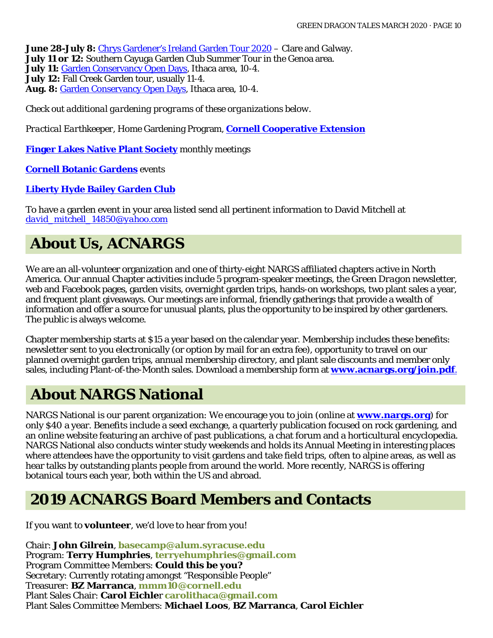**June 28-July 8:** [Chrys Gardener's Ireland Garden Tour 2020](https://chrysgardener.com/ireland-garden-tour-2020/) – Clare and Galway. **July 11 or 12:** Southern Cayuga Garden Club Summer Tour in the Genoa area. **July 11:** [Garden Conservancy Open Days,](https://www.gardenconservancy.org/open-days) Ithaca area, 10-4. **July 12:** Fall Creek Garden tour, usually 11-4. **Aug. 8:** [Garden Conservancy Open Days,](https://www.gardenconservancy.org/open-days) Ithaca area, 10-4.

*Check out additional gardening programs of these organizations below.*

*Practical Earthkeeper*, Home Gardening Program, **[Cornell Cooperative Extension](http://ccetompkins.org/gardening/practical-earthkeeper)**

**[Finger Lakes Native Plant Society](http://ccetompkins.org/gardening/practical-earthkeeper)** monthly meetings

**[Cornell Botanic Gardens](https://cornellbotanicgardens.org/explore/events/)** events

**[Liberty Hyde Bailey Garden Club](http://www.hort.cornell.edu/LHBGC/)**

To have a garden event in your area listed send all pertinent information to David Mitchell at *[david\\_mitchell\\_14850@yahoo.com](mailto:david_mitchell_14850@yahoo.com)*

# **About Us, ACNARGS**

We are an all-volunteer organization and one of thirty-eight NARGS affiliated chapters active in North America. Our annual Chapter activities include 5 program-speaker meetings, the *Green Dragon* newsletter, web and Facebook pages, garden visits, overnight garden trips, hands-on workshops, two plant sales a year, and frequent plant giveaways. Our meetings are informal, friendly gatherings that provide a wealth of information and offer a source for unusual plants, plus the opportunity to be inspired by other gardeners. The public is always welcome.

Chapter membership starts at \$15 a year based on the calendar year. Membership includes these benefits: newsletter sent to you electronically (or option by mail for an extra fee), opportunity to travel on our planned overnight garden trips, annual membership directory, and plant sale discounts and member only sales, including Plant-of-the-Month sales. Download a membership form at **[www.acnargs.org/join.pdf](http://www.acnargs.org/join.pdf.)**.

# **About NARGS National**

NARGS National is our parent organization: We encourage you to join (online at **www.nargs.org**) for only \$40 a year. Benefits include a seed exchange, a quarterly publication focused on rock gardening, and an online website featuring an archive of past publications, a chat forum and a horticultural encyclopedia. NARGS National also conducts winter study weekends and holds its Annual Meeting in interesting places where attendees have the opportunity to visit gardens and take field trips, often to alpine areas, as well as hear talks by outstanding plants people from around the world. More recently, NARGS is offering botanical tours each year, both within the US and abroad.

## **2019 ACNARGS Board Members and Contacts**

If you want to **volunteer**, we'd love to hear from you!

Chair: **John Gilrein**, **[basecamp@alum.syracuse.edu](mailto:basecamp@alum.syracuse.edu)**  Program: **Terry Humphries**, **[terryehumphries@gmail.com](mailto:terryehumphries@gmail.com)**  Program Committee Members: **Could this be you?** Secretary: Currently rotating amongst "Responsible People" Treasurer: **BZ Marranca**, **[mmm10@cornell.edu](mailto:mmm10@cornell.edu)** Plant Sales Chair: **Carol Eichle**r **[carolithaca@gmail.com](mailto:carolithaca@gmail.com)**  Plant Sales Committee Members: **Michael Loos**, **BZ Marranca**, **Carol Eichler**